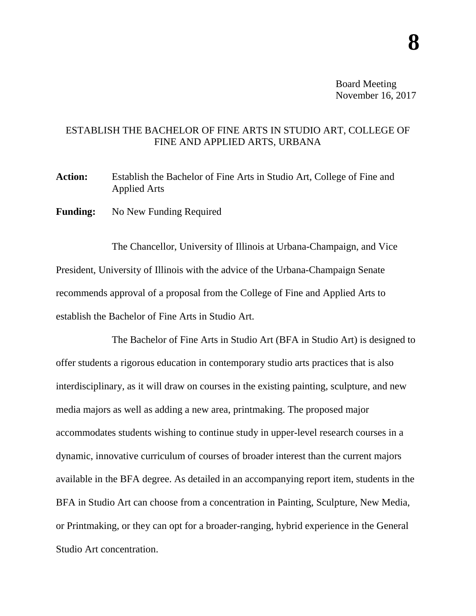Board Meeting November 16, 2017

## ESTABLISH THE BACHELOR OF FINE ARTS IN STUDIO ART, COLLEGE OF FINE AND APPLIED ARTS, URBANA

**Action:** Establish the Bachelor of Fine Arts in Studio Art, College of Fine and Applied Arts

**Funding:** No New Funding Required

The Chancellor, University of Illinois at Urbana-Champaign, and Vice President, University of Illinois with the advice of the Urbana-Champaign Senate recommends approval of a proposal from the College of Fine and Applied Arts to establish the Bachelor of Fine Arts in Studio Art.

The Bachelor of Fine Arts in Studio Art (BFA in Studio Art) is designed to offer students a rigorous education in contemporary studio arts practices that is also interdisciplinary, as it will draw on courses in the existing painting, sculpture, and new media majors as well as adding a new area, printmaking. The proposed major accommodates students wishing to continue study in upper-level research courses in a dynamic, innovative curriculum of courses of broader interest than the current majors available in the BFA degree. As detailed in an accompanying report item, students in the BFA in Studio Art can choose from a concentration in Painting, Sculpture, New Media, or Printmaking, or they can opt for a broader-ranging, hybrid experience in the General Studio Art concentration.